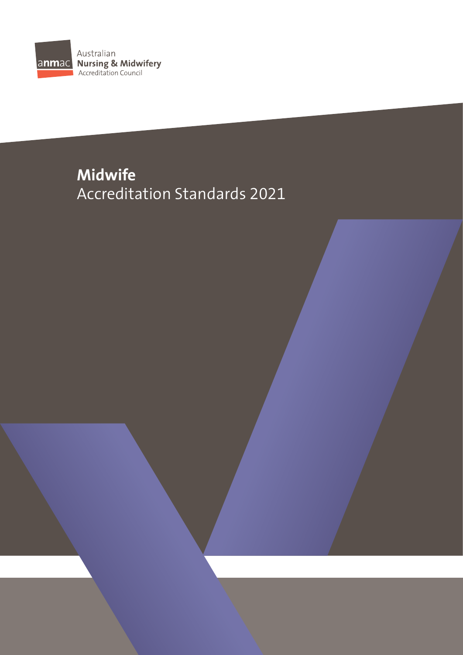

# **Midwife** Accreditation Standards 2021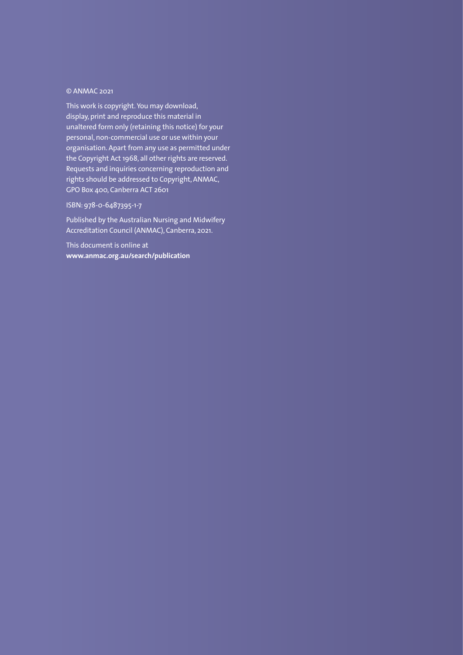## © ANMAC 2021

This work is copyright. You may download, display, print and reproduce this material in unaltered form only (retaining this notice) for your personal, non-commercial use or use within your organisation. Apart from any use as permitted under the Copyright Act 1968, all other rights are reserved. Requests and inquiries concerning reproduction and rights should be addressed to Copyright, ANMAC, GPO Box 400, Canberra ACT 2601

## ISBN: 978-0-6487395-1-7

Published by the Australian Nursing and Midwifery Accreditation Council (ANMAC), Canberra, 2021.

This document is online at **www.anmac.org.au/search/publication**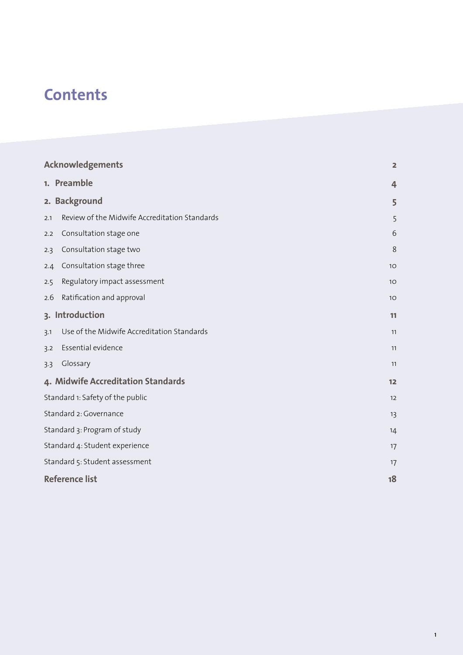# **Contents**

| <b>Acknowledgements</b>            |                                               | $\overline{2}$ |
|------------------------------------|-----------------------------------------------|----------------|
|                                    | 1. Preamble                                   | $\overline{4}$ |
|                                    | 2. Background                                 | 5              |
| 2.1                                | Review of the Midwife Accreditation Standards | 5              |
| 2.2                                | Consultation stage one                        | 6              |
| 2.3                                | Consultation stage two                        | 8              |
| 2.4                                | Consultation stage three                      | 10             |
| 2.5                                | Regulatory impact assessment                  | 10             |
| 2.6                                | Ratification and approval                     | 10             |
| 3. Introduction                    |                                               | 11             |
| 3.1                                | Use of the Midwife Accreditation Standards    | 11             |
| 3.2                                | Essential evidence                            | 11             |
| 3.3                                | Glossary                                      | 11             |
| 4. Midwife Accreditation Standards |                                               | 12             |
| Standard 1: Safety of the public   |                                               | 12             |
| Standard 2: Governance             |                                               | 13             |
| Standard 3: Program of study       |                                               | 14             |
| Standard 4: Student experience     |                                               | 17             |
| Standard 5: Student assessment     |                                               | 17             |
| <b>Reference list</b>              |                                               | 18             |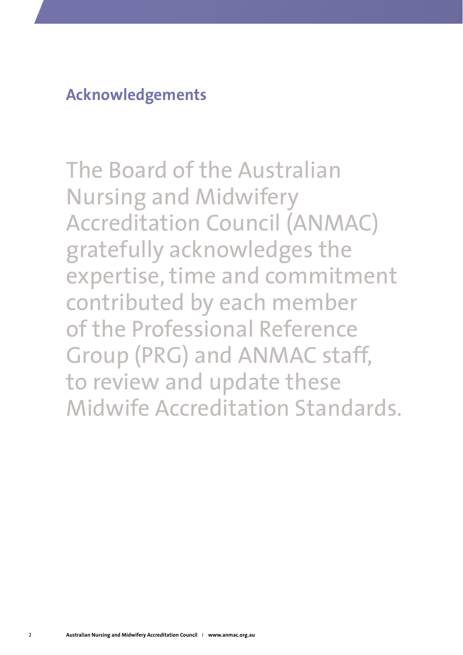<span id="page-3-0"></span>**Acknowledgements**

The Board of the Australian Nursing and Midwifery Accreditation Council (ANMAC) gratefully acknowledges the expertise, time and commitment contributed by each member of the Professional Reference Group (PRG) and ANMAC staff, to review and update these Midwife Accreditation Standards.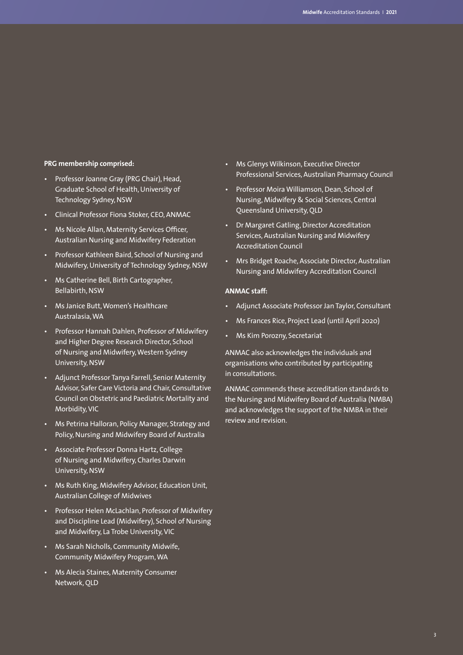## **PRG membership comprised:**

- Professor Joanne Gray (PRG Chair), Head, Graduate School of Health, University of Technology Sydney, NSW
- Clinical Professor Fiona Stoker, CEO, ANMAC
- Ms Nicole Allan, Maternity Services Officer, Australian Nursing and Midwifery Federation
- Professor Kathleen Baird, School of Nursing and Midwifery, University of Technology Sydney, NSW
- Ms Catherine Bell, Birth Cartographer, Bellabirth, NSW
- Ms Janice Butt, Women's Healthcare Australasia,WA
- Professor Hannah Dahlen, Professor of Midwifery and Higher Degree Research Director, School of Nursing and Midwifery, Western Sydney University, NSW
- Adjunct Professor Tanya Farrell, Senior Maternity Advisor, Safer Care Victoria and Chair, Consultative Council on Obstetric and Paediatric Mortality and Morbidity, VIC
- Ms Petrina Halloran, Policy Manager, Strategy and Policy, Nursing and Midwifery Board of Australia
- Associate Professor Donna Hartz, College of Nursing and Midwifery, Charles Darwin University, NSW
- Ms Ruth King, Midwifery Advisor, Education Unit, Australian College of Midwives
- Professor Helen McLachlan, Professor of Midwifery and Discipline Lead (Midwifery), School of Nursing and Midwifery, La Trobe University, VIC
- Ms Sarah Nicholls, Community Midwife, Community Midwifery Program, WA
- Ms Alecia Staines, Maternity Consumer Network, QLD
- Ms Glenys Wilkinson, Executive Director Professional Services, Australian Pharmacy Council
- Professor Moira Williamson, Dean, School of Nursing, Midwifery & Social Sciences, Central Queensland University, QLD
- Dr Margaret Gatling, Director Accreditation Services, Australian Nursing and Midwifery Accreditation Council
- Mrs Bridget Roache, Associate Director, Australian Nursing and Midwifery Accreditation Council

#### **ANMAC staff:**

- Adjunct Associate Professor Jan Taylor, Consultant
- Ms Frances Rice, Project Lead (until April 2020)
- Ms Kim Porozny, Secretariat

ANMAC also acknowledges the individuals and organisations who contributed by participating in consultations.

ANMAC commends these accreditation standards to the Nursing and Midwifery Board of Australia (NMBA) and acknowledges the support of the NMBA in their review and revision.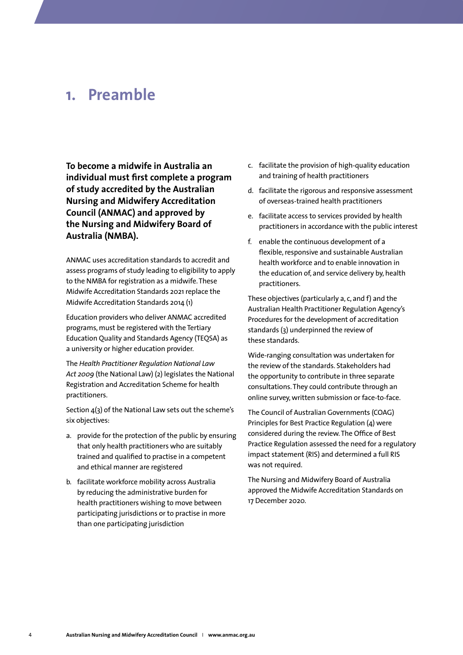## <span id="page-5-0"></span>**1. Preamble**

**To become a midwife in Australia an individual must first complete a program of study accredited by the Australian Nursing and Midwifery Accreditation Council (ANMAC) and approved by the Nursing and Midwifery Board of Australia (NMBA).** 

ANMAC uses accreditation standards to accredit and assess programs of study leading to eligibility to apply to the NMBA for registration as a midwife. These Midwife Accreditation Standards 2021 replace the Midwife Accreditation Standards 2014 (1)

Education providers who deliver ANMAC accredited programs, must be registered with the Tertiary Education Quality and Standards Agency (TEQSA) as a university or higher education provider.

The *Health Practitioner Regulation National Law Act 2009* (the National Law) (2) legislates the National Registration and Accreditation Scheme for health practitioners.

Section 4(3) of the National Law sets out the scheme's six objectives:

- a. provide for the protection of the public by ensuring that only health practitioners who are suitably trained and qualified to practise in a competent and ethical manner are registered
- b. facilitate workforce mobility across Australia by reducing the administrative burden for health practitioners wishing to move between participating jurisdictions or to practise in more than one participating jurisdiction
- c. facilitate the provision of high-quality education and training of health practitioners
- d. facilitate the rigorous and responsive assessment of overseas-trained health practitioners
- e. facilitate access to services provided by health practitioners in accordance with the public interest
- f. enable the continuous development of a flexible, responsive and sustainable Australian health workforce and to enable innovation in the education of, and service delivery by, health practitioners.

These objectives (particularly a, c, and f) and the Australian Health Practitioner Regulation Agency's Procedures for the development of accreditation standards (3) underpinned the review of these standards.

Wide-ranging consultation was undertaken for the review of the standards. Stakeholders had the opportunity to contribute in three separate consultations. They could contribute through an online survey, written submission or face-to-face.

The Council of Australian Governments (COAG) Principles for Best Practice Regulation (4) were considered during the review. The Office of Best Practice Regulation assessed the need for a regulatory impact statement (RIS) and determined a full RIS was not required.

The Nursing and Midwifery Board of Australia approved the Midwife Accreditation Standards on 17 December 2020.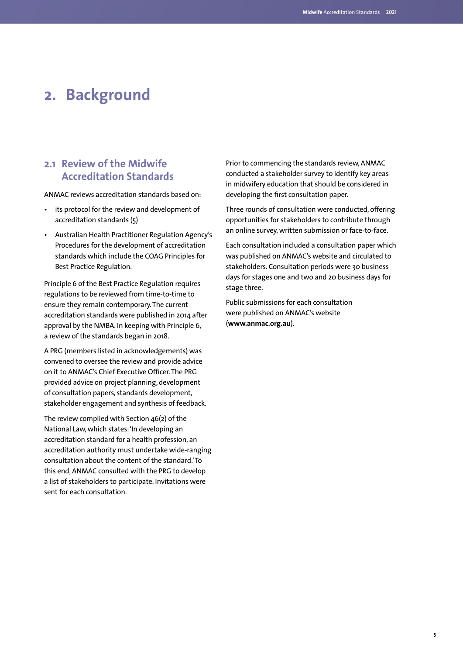## <span id="page-6-0"></span>**2. Background**

## **2.1 Review of the Midwife Accreditation Standards**

ANMAC reviews accreditation standards based on:

- its protocol for the review and development of accreditation standards (5)
- Australian Health Practitioner Regulation Agency's Procedures for the development of accreditation standards which include the COAG Principles for Best Practice Regulation.

Principle 6 of the Best Practice Regulation requires regulations to be reviewed from time-to-time to ensure they remain contemporary. The current accreditation standards were published in 2014 after approval by the NMBA. In keeping with Principle 6, a review of the standards began in 2018.

A PRG (members listed in acknowledgements) was convened to oversee the review and provide advice on it to ANMAC's Chief Executive Officer. The PRG provided advice on project planning, development of consultation papers, standards development, stakeholder engagement and synthesis of feedback.

The review complied with Section 46(2) of the National Law, which states: 'In developing an accreditation standard for a health profession, an accreditation authority must undertake wide-ranging consultation about the content of the standard.' To this end, ANMAC consulted with the PRG to develop a list of stakeholders to participate. Invitations were sent for each consultation.

Prior to commencing the standards review, ANMAC conducted a stakeholder survey to identify key areas in midwifery education that should be considered in developing the first consultation paper.

Three rounds of consultation were conducted, offering opportunities for stakeholders to contribute through an online survey, written submission or face-to-face.

Each consultation included a consultation paper which was published on ANMAC's website and circulated to stakeholders. Consultation periods were 30 business days for stages one and two and 20 business days for stage three.

Public submissions for each consultation were published on ANMAC's website (**[www.anmac.org.au](http://www.anmac.org.au)**).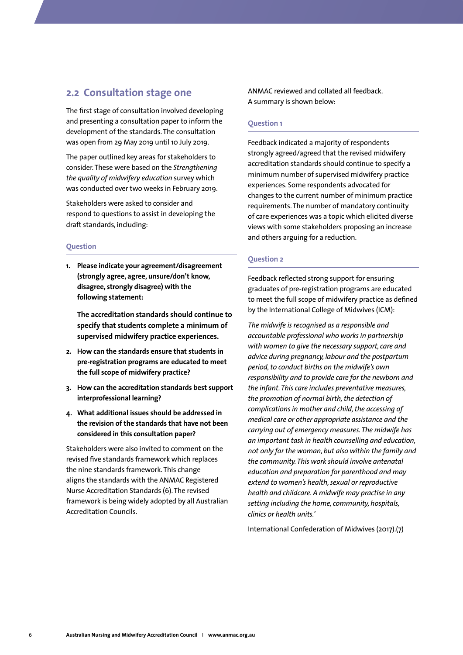## <span id="page-7-0"></span>**2.2 Consultation stage one**

The first stage of consultation involved developing and presenting a consultation paper to inform the development of the standards. The consultation was open from 29 May 2019 until 10 July 2019.

The paper outlined key areas for stakeholders to consider. These were based on the *Strengthening the quality of midwifery education* survey which was conducted over two weeks in February 2019.

Stakeholders were asked to consider and respond to questions to assist in developing the draft standards, including:

#### **Question**

**1. Please indicate your agreement/disagreement (strongly agree, agree, unsure/don't know, disagree, strongly disagree) with the following statement:** 

**The accreditation standards should continue to specify that students complete a minimum of supervised midwifery practice experiences.**

- **2. How can the standards ensure that students in pre-registration programs are educated to meet the full scope of midwifery practice?**
- **3. How can the accreditation standards best support interprofessional learning?**
- **4. What additional issues should be addressed in the revision of the standards that have not been considered in this consultation paper?**

Stakeholders were also invited to comment on the revised five standards framework which replaces the nine standards framework. This change aligns the standards with the ANMAC Registered Nurse Accreditation Standards (6). The revised framework is being widely adopted by all Australian Accreditation Councils.

ANMAC reviewed and collated all feedback. A summary is shown below:

#### **Question 1**

Feedback indicated a majority of respondents strongly agreed/agreed that the revised midwifery accreditation standards should continue to specify a minimum number of supervised midwifery practice experiences. Some respondents advocated for changes to the current number of minimum practice requirements. The number of mandatory continuity of care experiences was a topic which elicited diverse views with some stakeholders proposing an increase and others arguing for a reduction.

#### **Question 2**

Feedback reflected strong support for ensuring graduates of pre-registration programs are educated to meet the full scope of midwifery practice as defined by the International College of Midwives (ICM):

*The midwife is recognised as a responsible and accountable professional who works in partnership with women to give the necessary support, care and advice during pregnancy, labour and the postpartum period, to conduct births on the midwife's own responsibility and to provide care for the newborn and the infant. This care includes preventative measures, the promotion of normal birth, the detection of complications in mother and child, the accessing of medical care or other appropriate assistance and the carrying out of emergency measures. The midwife has an important task in health counselling and education, not only for the woman, but also within the family and the community. This work should involve antenatal education and preparation for parenthood and may extend to women's health, sexual or reproductive health and childcare. A midwife may practise in any setting including the home, community, hospitals, clinics or health units.'* 

International Confederation of Midwives (2017).(7)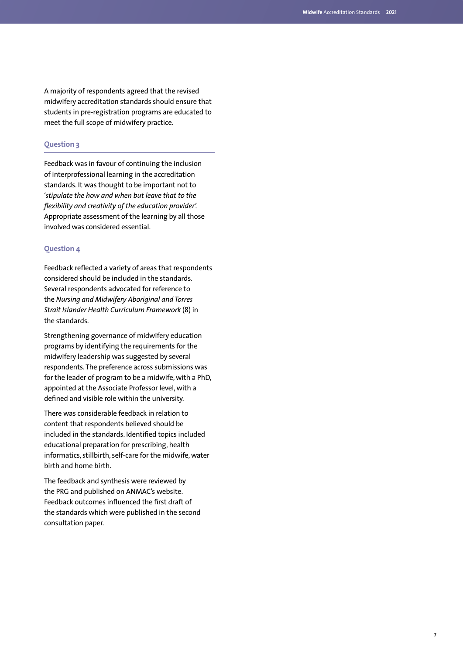A majority of respondents agreed that the revised midwifery accreditation standards should ensure that students in pre-registration programs are educated to meet the full scope of midwifery practice.

## **Question 3**

Feedback was in favour of continuing the inclusion of interprofessional learning in the accreditation standards. It was thought to be important not to '*stipulate the how and when but leave that to the flexibility and creativity of the education provider'.*  Appropriate assessment of the learning by all those involved was considered essential.

#### **Question 4**

Feedback reflected a variety of areas that respondents considered should be included in the standards. Several respondents advocated for reference to the *Nursing and Midwifery Aboriginal and Torres Strait Islander Health Curriculum Framework* (8) in the standards.

Strengthening governance of midwifery education programs by identifying the requirements for the midwifery leadership was suggested by several respondents. The preference across submissions was for the leader of program to be a midwife, with a PhD, appointed at the Associate Professor level, with a defined and visible role within the university.

There was considerable feedback in relation to content that respondents believed should be included in the standards. Identified topics included educational preparation for prescribing, health informatics, stillbirth, self-care for the midwife, water birth and home birth.

The feedback and synthesis were reviewed by the PRG and published on ANMAC's website. Feedback outcomes influenced the first draft of the standards which were published in the second consultation paper.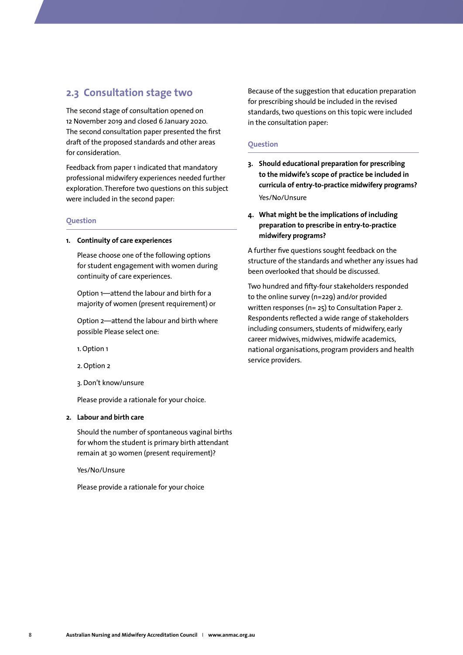## <span id="page-9-0"></span>**2.3 Consultation stage two**

The second stage of consultation opened on 12 November 2019 and closed 6 January 2020. The second consultation paper presented the first draft of the proposed standards and other areas for consideration.

Feedback from paper 1 indicated that mandatory professional midwifery experiences needed further exploration. Therefore two questions on this subject were included in the second paper:

#### **Question**

#### **1. Continuity of care experiences**

Please choose one of the following options for student engagement with women during continuity of care experiences.

Option 1—attend the labour and birth for a majority of women (present requirement) or

Option 2—attend the labour and birth where possible Please select one:

1. Option 1

2. Option 2

3. Don't know/unsure

Please provide a rationale for your choice.

#### **2. Labour and birth care**

Should the number of spontaneous vaginal births for whom the student is primary birth attendant remain at 30 women (present requirement)?

Yes/No/Unsure

Please provide a rationale for your choice

Because of the suggestion that education preparation for prescribing should be included in the revised standards, two questions on this topic were included in the consultation paper:

### **Question**

- **3. Should educational preparation for prescribing to the midwife's scope of practice be included in curricula of entry-to-practice midwifery programs?**  Yes/No/Unsure
- **4. What might be the implications of including preparation to prescribe in entry-to-practice midwifery programs?**

A further five questions sought feedback on the structure of the standards and whether any issues had been overlooked that should be discussed.

Two hundred and fifty-four stakeholders responded to the online survey (n=229) and/or provided written responses (n= 25) to Consultation Paper 2. Respondents reflected a wide range of stakeholders including consumers, students of midwifery, early career midwives, midwives, midwife academics, national organisations, program providers and health service providers.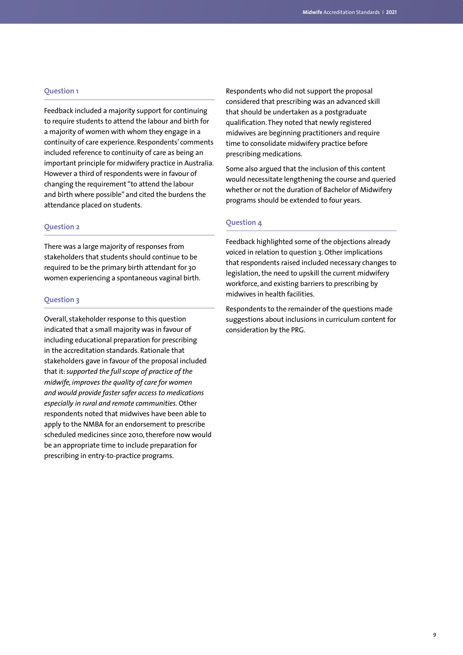### **Question 1**

Feedback included a majority support for continuing to require students to attend the labour and birth for a majority of women with whom they engage in a continuity of care experience. Respondents' comments included reference to continuity of care as being an important principle for midwifery practice in Australia. However a third of respondents were in favour of changing the requirement "to attend the labour and birth where possible" and cited the burdens the attendance placed on students.

#### **Question 2**

There was a large majority of responses from stakeholders that students should continue to be required to be the primary birth attendant for 30 women experiencing a spontaneous vaginal birth.

### **Question 3**

Overall, stakeholder response to this question indicated that a small majority was in favour of including educational preparation for prescribing in the accreditation standards. Rationale that stakeholders gave in favour of the proposal included that it: *supported the full scope of practice of the midwife, improves the quality of care for women and would provide faster safer access to medications especially in rural and remote communities.* Other respondents noted that midwives have been able to apply to the NMBA for an endorsement to prescribe scheduled medicines since 2010, therefore now would be an appropriate time to include preparation for prescribing in entry-to-practice programs.

Respondents who did not support the proposal considered that prescribing was an advanced skill that should be undertaken as a postgraduate qualification. They noted that newly registered midwives are beginning practitioners and require time to consolidate midwifery practice before prescribing medications.

Some also argued that the inclusion of this content would necessitate lengthening the course and queried whether or not the duration of Bachelor of Midwifery programs should be extended to four years.

## **Question 4**

Feedback highlighted some of the objections already voiced in relation to question 3. Other implications that respondents raised included necessary changes to legislation, the need to upskill the current midwifery workforce, and existing barriers to prescribing by midwives in health facilities.

Respondents to the remainder of the questions made suggestions about inclusions in curriculum content for consideration by the PRG.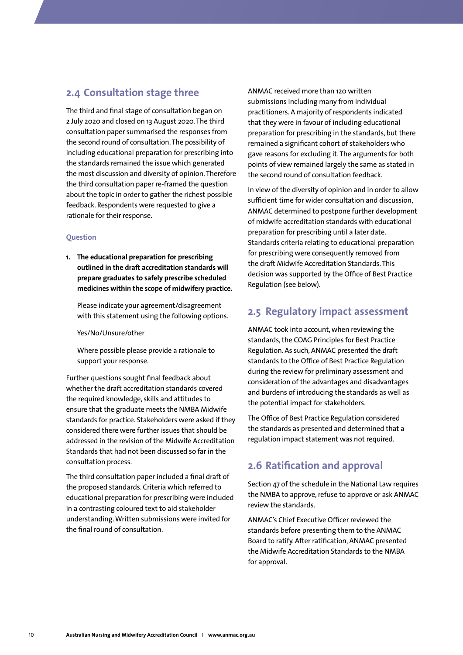## <span id="page-11-0"></span>**2.4 Consultation stage three**

The third and final stage of consultation began on 2 July 2020 and closed on 13 August 2020. The third consultation paper summarised the responses from the second round of consultation. The possibility of including educational preparation for prescribing into the standards remained the issue which generated the most discussion and diversity of opinion. Therefore the third consultation paper re-framed the question about the topic in order to gather the richest possible feedback. Respondents were requested to give a rationale for their response.

### **Question**

**1. The educational preparation for prescribing outlined in the draft accreditation standards will prepare graduates to safely prescribe scheduled medicines within the scope of midwifery practice.**

Please indicate your agreement/disagreement with this statement using the following options.

Yes/No/Unsure/other

Where possible please provide a rationale to support your response.

Further questions sought final feedback about whether the draft accreditation standards covered the required knowledge, skills and attitudes to ensure that the graduate meets the NMBA Midwife standards for practice. Stakeholders were asked if they considered there were further issues that should be addressed in the revision of the Midwife Accreditation Standards that had not been discussed so far in the consultation process.

The third consultation paper included a final draft of the proposed standards. Criteria which referred to educational preparation for prescribing were included in a contrasting coloured text to aid stakeholder understanding. Written submissions were invited for the final round of consultation.

ANMAC received more than 120 written submissions including many from individual practitioners. A majority of respondents indicated that they were in favour of including educational preparation for prescribing in the standards, but there remained a significant cohort of stakeholders who gave reasons for excluding it. The arguments for both points of view remained largely the same as stated in the second round of consultation feedback.

In view of the diversity of opinion and in order to allow sufficient time for wider consultation and discussion, ANMAC determined to postpone further development of midwife accreditation standards with educational preparation for prescribing until a later date. Standards criteria relating to educational preparation for prescribing were consequently removed from the draft Midwife Accreditation Standards. This decision was supported by the Office of Best Practice Regulation (see below).

## **2.5 Regulatory impact assessment**

ANMAC took into account, when reviewing the standards, the COAG Principles for Best Practice Regulation. As such, ANMAC presented the draft standards to the Office of Best Practice Regulation during the review for preliminary assessment and consideration of the advantages and disadvantages and burdens of introducing the standards as well as the potential impact for stakeholders.

The Office of Best Practice Regulation considered the standards as presented and determined that a regulation impact statement was not required.

## **2.6 Ratification and approval**

Section 47 of the schedule in the National Law requires the NMBA to approve, refuse to approve or ask ANMAC review the standards.

ANMAC's Chief Executive Officer reviewed the standards before presenting them to the ANMAC Board to ratify. After ratification, ANMAC presented the Midwife Accreditation Standards to the NMBA for approval.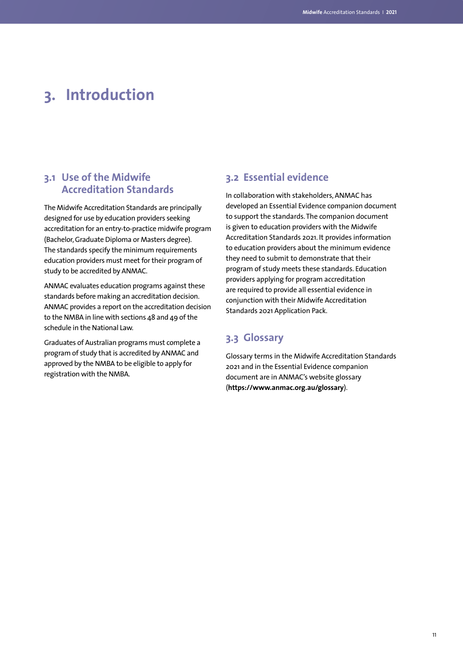# <span id="page-12-0"></span>**3. Introduction**

## **3.1 Use of the Midwife Accreditation Standards**

The Midwife Accreditation Standards are principally designed for use by education providers seeking accreditation for an entry-to-practice midwife program (Bachelor, Graduate Diploma or Masters degree). The standards specify the minimum requirements education providers must meet for their program of study to be accredited by ANMAC.

ANMAC evaluates education programs against these standards before making an accreditation decision. ANMAC provides a report on the accreditation decision to the NMBA in line with sections 48 and 49 of the schedule in the National Law.

Graduates of Australian programs must complete a program of study that is accredited by ANMAC and approved by the NMBA to be eligible to apply for registration with the NMBA.

## **3.2 Essential evidence**

In collaboration with stakeholders, ANMAC has developed an Essential Evidence companion document to support the standards. The companion document is given to education providers with the Midwife Accreditation Standards 2021. It provides information to education providers about the minimum evidence they need to submit to demonstrate that their program of study meets these standards. Education providers applying for program accreditation are required to provide all essential evidence in conjunction with their Midwife Accreditation Standards 2021 Application Pack.

## **3.3 Glossary**

Glossary terms in the Midwife Accreditation Standards 2021 and in the Essential Evidence companion document are in ANMAC's website glossary (**<https://www.anmac.org.au/glossary>**).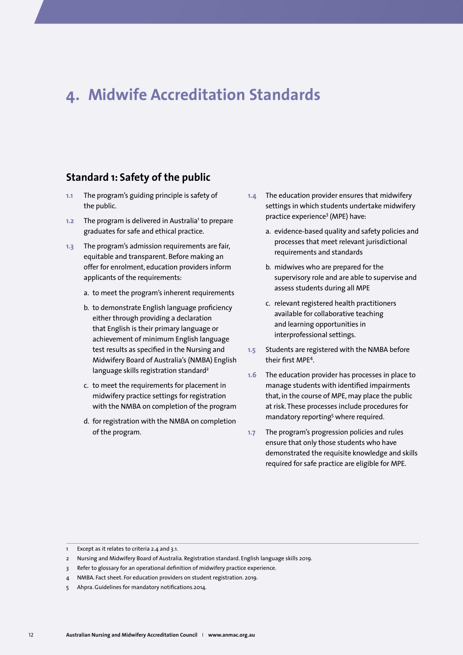## <span id="page-13-0"></span>**4. Midwife Accreditation Standards**

## **Standard 1: Safety of the public**

- **1.1** The program's guiding principle is safety of the public.
- 1.2 The program is delivered in Australia<sup>1</sup> to prepare graduates for safe and ethical practice.
- **1.3** The program's admission requirements are fair, equitable and transparent. Before making an offer for enrolment, education providers inform applicants of the requirements:
	- a. to meet the program's inherent requirements
	- b. to demonstrate English language proficiency either through providing a declaration that English is their primary language or achievement of minimum English language test results as specified in the Nursing and Midwifery Board of Australia's (NMBA) English language skills registration standard<sup>2</sup>
	- c. to meet the requirements for placement in midwifery practice settings for registration with the NMBA on completion of the program
	- d. for registration with the NMBA on completion of the program.
- **1.4** The education provider ensures that midwifery settings in which students undertake midwifery practice experience<sup>3</sup> (MPE) have:
	- a. evidence-based quality and safety policies and processes that meet relevant jurisdictional requirements and standards
	- b. midwives who are prepared for the supervisory role and are able to supervise and assess students during all MPE
	- c. relevant registered health practitioners available for collaborative teaching and learning opportunities in interprofessional settings.
- **1.5** Students are registered with the NMBA before their first MPE4 .
- **1.6** The education provider has processes in place to manage students with identified impairments that, in the course of MPE, may place the public at risk. These processes include procedures for mandatory reporting<sup>5</sup> where required.
- **1.7** The program's progression policies and rules ensure that only those students who have demonstrated the requisite knowledge and skills required for safe practice are eligible for MPE.

<sup>1</sup> Except as it relates to criteria 2.4 and 3.1.

<sup>2</sup> Nursing and Midwifery Board of Australia. Registration standard. English language skills 2019.

<sup>3</sup> Refer to glossary for an operational definition of midwifery practice experience.

NMBA. Fact sheet. For education providers on student registration. 2019.

<sup>5</sup> Ahpra. Guidelines for mandatory notifications.2014.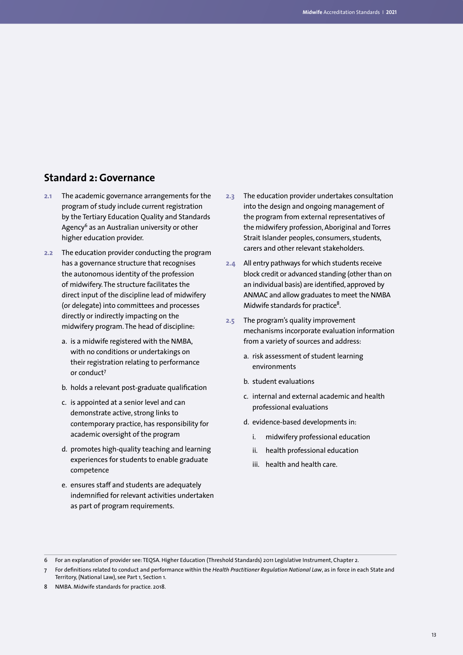## <span id="page-14-0"></span>**Standard 2: Governance**

- **2.1** The academic governance arrangements for the program of study include current registration by the Tertiary Education Quality and Standards Agency<sup>6</sup> as an Australian university or other higher education provider.
- **2.2** The education provider conducting the program has a governance structure that recognises the autonomous identity of the profession of midwifery. The structure facilitates the direct input of the discipline lead of midwifery (or delegate) into committees and processes directly or indirectly impacting on the midwifery program. The head of discipline:
	- a. is a midwife registered with the NMBA, with no conditions or undertakings on their registration relating to performance or conduct7
	- b. holds a relevant post-graduate qualification
	- c. is appointed at a senior level and can demonstrate active, strong links to contemporary practice, has responsibility for academic oversight of the program
	- d. promotes high-quality teaching and learning experiences for students to enable graduate competence
	- e. ensures staff and students are adequately indemnified for relevant activities undertaken as part of program requirements.
- **2.3** The education provider undertakes consultation into the design and ongoing management of the program from external representatives of the midwifery profession, Aboriginal and Torres Strait Islander peoples, consumers, students, carers and other relevant stakeholders.
- **2.4** All entry pathways for which students receive block credit or advanced standing (other than on an individual basis) are identified, approved by ANMAC and allow graduates to meet the NMBA Midwife standards for practice<sup>8</sup>.
- **2.5** The program's quality improvement mechanisms incorporate evaluation information from a variety of sources and address:
	- a. risk assessment of student learning environments
	- b. student evaluations
	- c. internal and external academic and health professional evaluations
	- d. evidence-based developments in:
		- i. midwifery professional education
		- ii. health professional education
		- iii. health and health care.

<sup>6</sup> For an explanation of provider see: TEQSA. Higher Education (Threshold Standards) 2011 Legislative Instrument, Chapter 2.

<sup>7</sup> For definitions related to conduct and performance within the *Health Practitioner Regulation National Law*, as in force in each State and Territory, (National Law), see Part 1, Section 1.

<sup>8</sup> NMBA. Midwife standards for practice. 2018.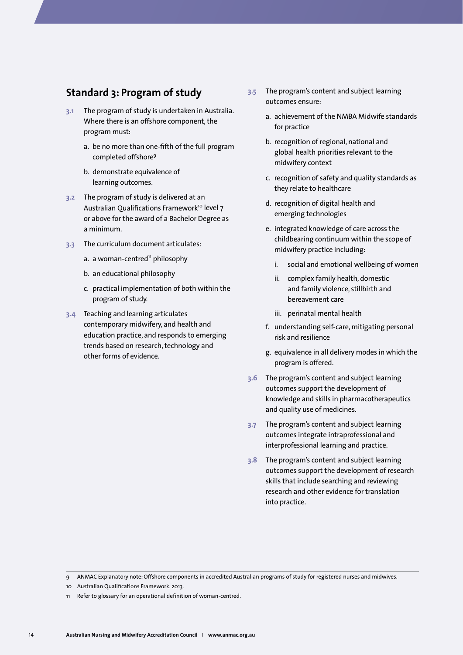## <span id="page-15-0"></span>**Standard 3: Program of study**

- **3.1** The program of study is undertaken in Australia. Where there is an offshore component, the program must:
	- a. be no more than one-fifth of the full program completed offshore9
	- b. demonstrate equivalence of learning outcomes.
- **3.2** The program of study is delivered at an Australian Qualifications Framework<sup>10</sup> level 7 or above for the award of a Bachelor Degree as a minimum.
- **3.3** The curriculum document articulates:
	- a. a woman-centred<sup>11</sup> philosophy
	- b. an educational philosophy
	- c. practical implementation of both within the program of study.
- **3.4** Teaching and learning articulates contemporary midwifery, and health and education practice, and responds to emerging trends based on research, technology and other forms of evidence.
- **3.5** The program's content and subject learning outcomes ensure:
	- a. achievement of the NMBA Midwife standards for practice
	- b. recognition of regional, national and global health priorities relevant to the midwifery context
	- c. recognition of safety and quality standards as they relate to healthcare
	- d. recognition of digital health and emerging technologies
	- e. integrated knowledge of care across the childbearing continuum within the scope of midwifery practice including:
		- i. social and emotional wellbeing of women
		- ii. complex family health, domestic and family violence, stillbirth and bereavement care
		- iii. perinatal mental health
	- f. understanding self-care, mitigating personal risk and resilience
	- g. equivalence in all delivery modes in which the program is offered.
- **3.6** The program's content and subject learning outcomes support the development of knowledge and skills in pharmacotherapeutics and quality use of medicines.
- **3.7** The program's content and subject learning outcomes integrate intraprofessional and interprofessional learning and practice.
- **3.8** The program's content and subject learning outcomes support the development of research skills that include searching and reviewing research and other evidence for translation into practice.

<sup>9</sup> ANMAC Explanatory note: Offshore components in accredited Australian programs of study for registered nurses and midwives.

<sup>10</sup> Australian Qualifications Framework. 2013.

<sup>11</sup> Refer to glossary for an operational definition of woman-centred.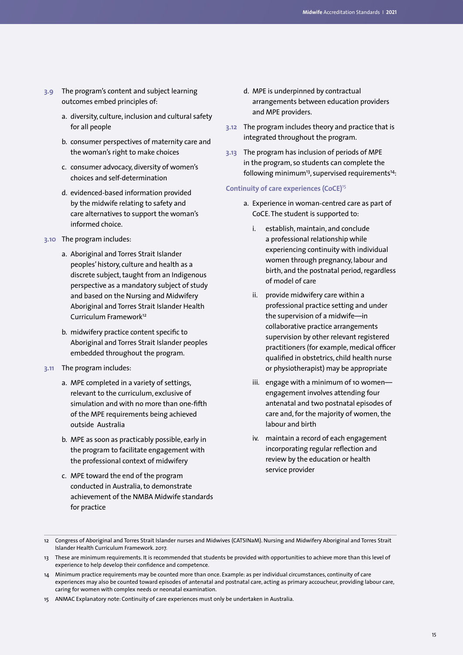- **3.9** The program's content and subject learning outcomes embed principles of:
	- a. diversity, culture, inclusion and cultural safety for all people
	- b. consumer perspectives of maternity care and the woman's right to make choices
	- c. consumer advocacy, diversity of women's choices and self-determination
	- d. evidenced-based information provided by the midwife relating to safety and care alternatives to support the woman's informed choice.
- **3.10** The program includes:
	- a. Aboriginal and Torres Strait Islander peoples' history, culture and health as a discrete subject, taught from an Indigenous perspective as a mandatory subject of study and based on the Nursing and Midwifery Aboriginal and Torres Strait Islander Health Curriculum Framework<sup>12</sup>
	- b. midwifery practice content specific to Aboriginal and Torres Strait Islander peoples embedded throughout the program.
- **3.11** The program includes:
	- a. MPE completed in a variety of settings, relevant to the curriculum, exclusive of simulation and with no more than one-fifth of the MPE requirements being achieved outside Australia
	- b. MPE as soon as practicably possible, early in the program to facilitate engagement with the professional context of midwifery
	- c. MPE toward the end of the program conducted in Australia, to demonstrate achievement of the NMBA Midwife standards for practice
- d. MPE is underpinned by contractual arrangements between education providers and MPE providers.
- **3.12** The program includes theory and practice that is integrated throughout the program.
- **3.13** The program has inclusion of periods of MPE in the program, so students can complete the following minimum<sup>13</sup>, supervised requirements<sup>14</sup>:

## **Continuity of care experiences (CoCE)**<sup>15</sup>

- a. Experience in woman-centred care as part of CoCE. The student is supported to:
	- i. establish, maintain, and conclude a professional relationship while experiencing continuity with individual women through pregnancy, labour and birth, and the postnatal period, regardless of model of care
	- ii. provide midwifery care within a professional practice setting and under the supervision of a midwife—in collaborative practice arrangements supervision by other relevant registered practitioners (for example, medical officer qualified in obstetrics, child health nurse or physiotherapist) may be appropriate
	- iii. engage with a minimum of 10 women engagement involves attending four antenatal and two postnatal episodes of care and, for the majority of women, the labour and birth
	- iv. maintain a record of each engagement incorporating regular reflection and review by the education or health service provider

- 14 Minimum practice requirements may be counted more than once. Example: as per individual circumstances, continuity of care experiences may also be counted toward episodes of antenatal and postnatal care, acting as primary accoucheur, providing labour care, caring for women with complex needs or neonatal examination.
- 15 ANMAC Explanatory note: Continuity of care experiences must only be undertaken in Australia.

<sup>12</sup> Congress of Aboriginal and Torres Strait Islander nurses and Midwives (CATSINaM). Nursing and Midwifery Aboriginal and Torres Strait Islander Health Curriculum Framework. 2017.

<sup>13</sup> These are minimum requirements. It is recommended that students be provided with opportunities to achieve more than this level of experience to help develop their confidence and competence.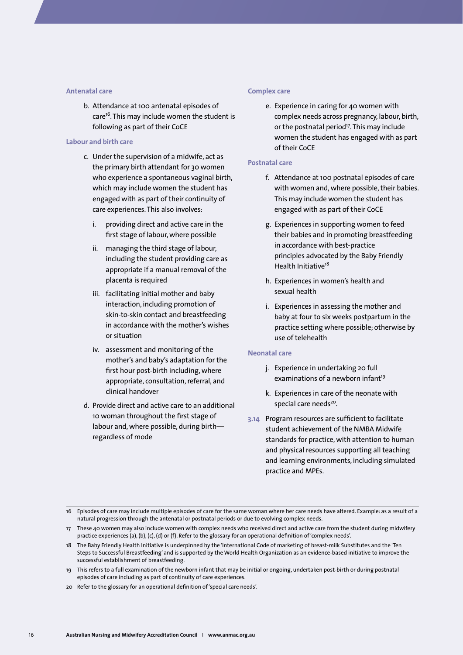#### **Antenatal care**

b. Attendance at 100 antenatal episodes of care<sup>16</sup>. This may include women the student is following as part of their CoCE

#### **Labour and birth care**

- c. Under the supervision of a midwife, act as the primary birth attendant for 30 women who experience a spontaneous vaginal birth, which may include women the student has engaged with as part of their continuity of care experiences. This also involves:
	- i. providing direct and active care in the first stage of labour, where possible
	- ii. managing the third stage of labour, including the student providing care as appropriate if a manual removal of the placenta is required
	- iii. facilitating initial mother and baby interaction, including promotion of skin-to-skin contact and breastfeeding in accordance with the mother's wishes or situation
	- iv. assessment and monitoring of the mother's and baby's adaptation for the first hour post-birth including, where appropriate, consultation, referral, and clinical handover
- d. Provide direct and active care to an additional 10 woman throughout the first stage of labour and, where possible, during birth regardless of mode

#### **Complex care**

e. Experience in caring for 40 women with complex needs across pregnancy, labour, birth, or the postnatal period<sup>17</sup>. This may include women the student has engaged with as part of their CoCE

#### **Postnatal care**

- f. Attendance at 100 postnatal episodes of care with women and, where possible, their babies. This may include women the student has engaged with as part of their CoCE
- g. Experiences in supporting women to feed their babies and in promoting breastfeeding in accordance with best-practice principles advocated by the Baby Friendly Health Initiative<sup>18</sup>
- h. Experiences in women's health and sexual health
- i. Experiences in assessing the mother and baby at four to six weeks postpartum in the practice setting where possible; otherwise by use of telehealth

### **Neonatal care**

- j. Experience in undertaking 20 full examinations of a newborn infant<sup>19</sup>
- k. Experiences in care of the neonate with special care needs<sup>20</sup>.
- **3.14** Program resources are sufficient to facilitate student achievement of the NMBA Midwife standards for practice, with attention to human and physical resources supporting all teaching and learning environments, including simulated practice and MPEs.

<sup>16</sup> Episodes of care may include multiple episodes of care for the same woman where her care needs have altered. Example: as a result of a natural progression through the antenatal or postnatal periods or due to evolving complex needs.

<sup>17</sup> These 40 women may also include women with complex needs who received direct and active care from the student during midwifery practice experiences (a), (b), (c), (d) or (f). Refer to the glossary for an operational definition of 'complex needs'.

<sup>18</sup> The Baby Friendly Health Initiative is underpinned by the 'International Code of marketing of breast-milk Substitutes and the 'Ten Steps to Successful Breastfeeding' and is supported by the World Health Organization as an evidence-based initiative to improve the successful establishment of breastfeeding.

<sup>19</sup> This refers to a full examination of the newborn infant that may be initial or ongoing, undertaken post-birth or during postnatal episodes of care including as part of continuity of care experiences.

<sup>20</sup> Refer to the glossary for an operational definition of 'special care needs'.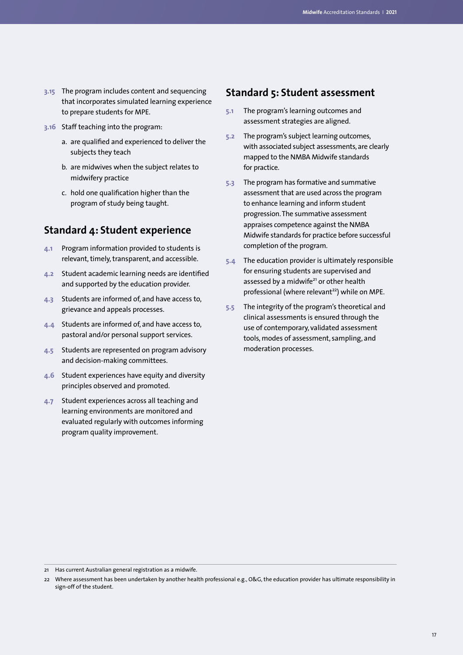- <span id="page-18-0"></span>**3.15** The program includes content and sequencing that incorporates simulated learning experience to prepare students for MPE.
- **3.16** Staff teaching into the program:
	- a. are qualified and experienced to deliver the subjects they teach
	- b. are midwives when the subject relates to midwifery practice
	- c. hold one qualification higher than the program of study being taught.

## **Standard 4: Student experience**

- **4.1** Program information provided to students is relevant, timely, transparent, and accessible.
- **4.2** Student academic learning needs are identified and supported by the education provider.
- **4.3** Students are informed of, and have access to, grievance and appeals processes.
- **4.4** Students are informed of, and have access to, pastoral and/or personal support services.
- **4.5** Students are represented on program advisory and decision-making committees.
- **4.6** Student experiences have equity and diversity principles observed and promoted.
- **4.7** Student experiences across all teaching and learning environments are monitored and evaluated regularly with outcomes informing program quality improvement.

## **Standard 5: Student assessment**

- **5.1** The program's learning outcomes and assessment strategies are aligned.
- **5.2** The program's subject learning outcomes, with associated subject assessments, are clearly mapped to the NMBA Midwife standards for practice.
- **5.3** The program has formative and summative assessment that are used across the program to enhance learning and inform student progression. The summative assessment appraises competence against the NMBA Midwife standards for practice before successful completion of the program.
- **5.4** The education provider is ultimately responsible for ensuring students are supervised and assessed by a midwife<sup>21</sup> or other health professional (where relevant<sup>22</sup>) while on MPE.
- **5.5** The integrity of the program's theoretical and clinical assessments is ensured through the use of contemporary, validated assessment tools, modes of assessment, sampling, and moderation processes.

<sup>21</sup> Has current Australian general registration as a midwife.

<sup>22</sup> Where assessment has been undertaken by another health professional e.g., O&G, the education provider has ultimate responsibility in sign-off of the student.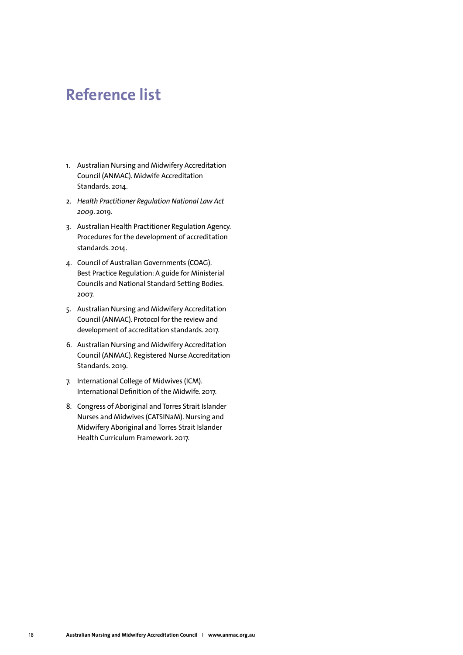## <span id="page-19-0"></span>**Reference list**

- 1. Australian Nursing and Midwifery Accreditation Council (ANMAC). Midwife Accreditation Standards. 2014.
- 2. *Health Practitioner Regulation National Law Act 2009*. 2019.
- 3. Australian Health Practitioner Regulation Agency. Procedures for the development of accreditation standards. 2014.
- 4. Council of Australian Governments (COAG). Best Practice Regulation: A guide for Ministerial Councils and National Standard Setting Bodies. 2007.
- 5. Australian Nursing and Midwifery Accreditation Council (ANMAC). Protocol for the review and development of accreditation standards. 2017.
- 6. Australian Nursing and Midwifery Accreditation Council (ANMAC). Registered Nurse Accreditation Standards. 2019.
- 7. International College of Midwives (ICM). International Definition of the Midwife. 2017.
- 8. Congress of Aboriginal and Torres Strait Islander Nurses and Midwives (CATSINaM). Nursing and Midwifery Aboriginal and Torres Strait Islander Health Curriculum Framework. 2017.